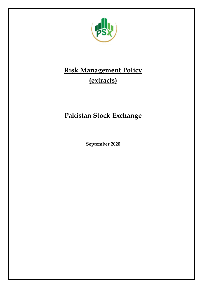

# **Risk Management Policy (extracts)**

# **Pakistan Stock Exchange**

**September 2020**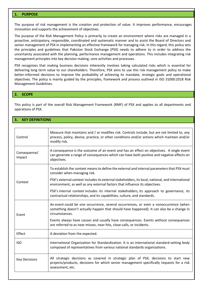# **1. PURPOSE**

The purpose of risk management is the creation and protection of value. It improves performance, encourages innovation and supports the achievement of objectives.

The purpose of the Risk Management Policy is primarily to create an environment where risks are managed in a proactive, anticipatory, responsible, coordinated and systematic manner and to assist the Board of Directors and senior management of PSX in implementing an effective framework for managing risk. In this regard, this policy sets the principles and guidelines that Pakistan Stock Exchange (PSX) needs to adhere to in order to address the uncertainty associated with the planning, performance management and operations. This includes integrating risk management principles into key decision making, core activities and processes.

PSX recognizes that making business decisions inherently involves taking calculated risks which is essential for delivering long term value to our shareholders. Therefore, PSX aims to use this risk management policy to make better-informed decisions to improve the probability of achieving its mandate, strategic goals and operational objectives. The policy is mainly guided by the principles, framework and process outlined in ISO 31000:2018 Risk Management Guidelines.

#### **2. SCOPE**

This policy is part of the overall Risk Management Framework (RMF) of PSX and applies to all departments and operations of PSX.

# **3. KEY DEFINITIONS**

| Control                | Measure that maintains and / or modifies risk. Controls include, but are not limited to, any<br>process, policy, device, practice, or other conditions and/or actions which maintain and/or<br>modify risk. |
|------------------------|-------------------------------------------------------------------------------------------------------------------------------------------------------------------------------------------------------------|
| Consequence/<br>Impact | A consequence is the outcome of an event and has an effect on objectives. A single event<br>can generate a range of consequences which can have both positive and negative effects on<br>objectives.        |
| Context                | To establish the context means to define the external and internal parameters that PSX must<br>consider when managing risk.                                                                                 |
|                        | PSX's external context includes its external stakeholders, its local, national, and international<br>environment, as well as any external factors that influence its objectives.                            |
|                        | PSX's internal context includes its internal stakeholders, its approach to governance, its<br>contractual relationships, and its capabilities, culture, and standards.                                      |
| Event                  | An event could be one occurrence, several occurrences, or even a nonoccurrence (when<br>something doesn't actually happen that should have happened). It can also be a change in<br>circumstances.          |
|                        | Events always have causes and usually have consequences. Events without consequences<br>are referred to as near-misses, near-hits, close-calls, or incidents.                                               |
| Effect                 | A deviation from the expected.                                                                                                                                                                              |
| <b>ISO</b>             | International Organization for Standardization. It is an international standard-setting body<br>composed of representatives from various national standards organizations.                                  |
| <b>Key Decisions</b>   | All strategic decisions as covered in strategic plan of PSX, decisions to start new<br>projects/products, decisions for which senior management specifically requests for a risk<br>assessment, etc.        |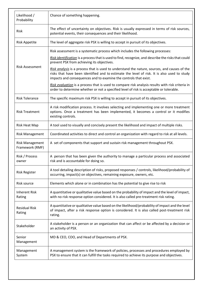| Likelihood /<br>Probability               | Chance of something happening.                                                                                                                                                                                                                                  |
|-------------------------------------------|-----------------------------------------------------------------------------------------------------------------------------------------------------------------------------------------------------------------------------------------------------------------|
| Risk                                      | The effect of uncertainty on objectives. Risk is usually expressed in terms of risk sources,<br>potential events, their consequences and their likelihood.                                                                                                      |
| <b>Risk Appetite</b>                      | The level of aggregate risk PSX is willing to accept in pursuit of its objectives.                                                                                                                                                                              |
| <b>Risk Assessment</b>                    | Risk assessment is a systematic process which includes the following processes:                                                                                                                                                                                 |
|                                           | Risk identification is a process that is used to find, recognize, and describe the risks that could<br>prevent PSX from achieving its objectives.                                                                                                               |
|                                           | Risk analysis is a process that is used to understand the nature, sources, and causes of the<br>risks that have been identified and to estimate the level of risk. It is also used to study<br>impacts and consequences and to examine the controls that exist. |
|                                           | Risk evaluation is a process that is used to compare risk analysis results with risk criteria in<br>order to determine whether or not a specified level of risk is acceptable or tolerable.                                                                     |
| <b>Risk Tolerance</b>                     | The specific maximum risk PSX is willing to accept in pursuit of its objectives.                                                                                                                                                                                |
| <b>Risk Treatment</b>                     | A risk modification process. It involves selecting and implementing one or more treatment<br>options. Once a treatment has been implemented, it becomes a control or it modifies<br>existing controls.                                                          |
| Risk Heat Map                             | A tool used to visually and concisely present the likelihood and impact of multiple risks.                                                                                                                                                                      |
| <b>Risk Management</b>                    | Coordinated activities to direct and control an organization with regard to risk at all levels.                                                                                                                                                                 |
| <b>Risk Management</b><br>Framework (RMF) | A set of components that support and sustain risk management throughout PSX.                                                                                                                                                                                    |
| Risk / Process<br>owner                   | A person that has been given the authority to manage a particular process and associated<br>risk and is accountable for doing so.                                                                                                                               |
| <b>Risk Register</b>                      | A tool detailing description of risks, proposed responses / controls, likelihood/probability of<br>occurring, impact(s) on objectives, remaining exposure, owners, etc.                                                                                         |
| Risk source                               | Elements which alone or in combination has the potential to give rise to risk                                                                                                                                                                                   |
| <b>Inherent Risk</b><br>Rating            | A quantitative or qualitative value based on the probability of impact and the level of impact,<br>with no risk response option considered. It is also called pre-treatment risk rating.                                                                        |
| <b>Residual Risk</b><br>Rating            | A quantitative or qualitative value based on the likelihood/probability of impact and the level<br>of impact, after a risk response option is considered. It is also called post-treatment risk<br>rating.                                                      |
| Stakeholder                               | A stakeholder is a person or an organization that can affect or be affected by a decision or<br>an activity of PSX.                                                                                                                                             |
| Senior<br>Management                      | MD & CEO, COO, and Head of Departments of PSX.                                                                                                                                                                                                                  |
| Management<br>System                      | A management system is the framework of policies, processes and procedures employed by<br>PSX to ensure that it can fulfill the tasks required to achieve its purpose and objectives.                                                                           |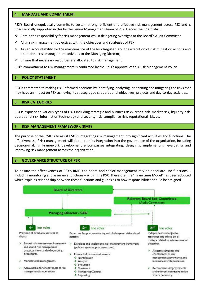#### **4. MANDATE AND COMMITMENT**

PSX's Board unequivocally commits to sustain strong, efficient and effective risk management across PSX and is unequivocally supported in this by the Senior Management Team of PSX. Hence, the Board shall:

- Retain the responsibility for risk management whilst delegating oversight to the Board's Audit Committee
- \* Align risk management objectives with the objectives and strategies of PSX;
- $\dots$  Assign accountability for the maintenance of the Risk Register, and the execution of risk mitigation actions and operational risk management activities to the Managing Director;
- $\cdot$  Ensure that necessary resources are allocated to risk management.

PSX's commitment to risk management is confirmed by the BoD's approval of this Risk Management Policy.

# **5. POLICY STATEMENT**

PSX is committed to making risk-informed decisions by identifying, analyzing, prioritizing and mitigating the risks that may have an impact on PSX achieving its strategic goals, operational objectives, projects and day-to-day activities.

# **6. RISK CATEGORIES**

PSX is exposed to various types of risks including strategic and business risks, credit risk, market risk, liquidity risk, operational risk, information technology and security risk, compliance risk, reputational risk, etc.

# **7. RISK MANAGEMENT FRAMEWORK (RMF)**

The purpose of the RMF is to assist PSX in integrating risk management into significant activities and functions. The effectiveness of risk management will depend on its integration into the governance of the organization, including decision-making. Framework development encompasses integrating, designing, implementing, evaluating and improving risk management across the organization.

# **8. GOVERNANCE STRUCTURE OF PSX**

To ensure the effectiveness of PSX's RMF, the board and senior management rely on adequate line functions – including monitoring and assurance functions – within the PSX. Therefore, the 'Three Lines Model' has been adopted which explains relationship between these functions and guides as to how responsibilities should be assigned.